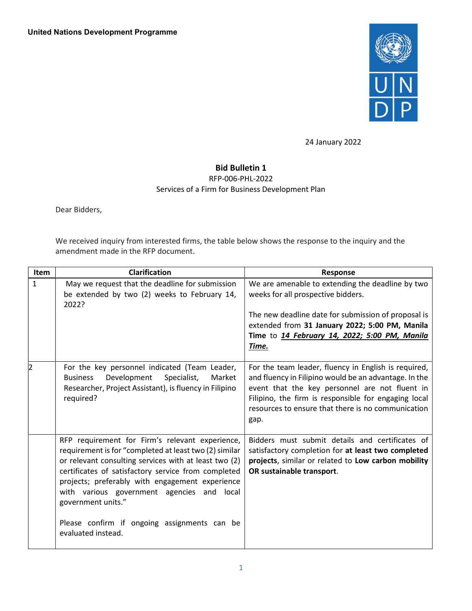

24 January 2022

## Bid Bulletin 1

RFP-006-PHL-2022

Services of a Firm for Business Development Plan

Dear Bidders,

We received inquiry from interested firms, the table below shows the response to the inquiry and the amendment made in the RFP document.

| Item         | <b>Clarification</b>                                                                                                                                                                                                                                                                                                                                                                                                      | Response                                                                                                                                                                                                                                                                              |
|--------------|---------------------------------------------------------------------------------------------------------------------------------------------------------------------------------------------------------------------------------------------------------------------------------------------------------------------------------------------------------------------------------------------------------------------------|---------------------------------------------------------------------------------------------------------------------------------------------------------------------------------------------------------------------------------------------------------------------------------------|
| $\mathbf{1}$ | May we request that the deadline for submission<br>be extended by two (2) weeks to February 14,<br>2022?                                                                                                                                                                                                                                                                                                                  | We are amenable to extending the deadline by two<br>weeks for all prospective bidders.<br>The new deadline date for submission of proposal is<br>extended from 31 January 2022; 5:00 PM, Manila<br>Time to 14 February 14, 2022; 5:00 PM, Manila<br>Time.                             |
| 2            | For the key personnel indicated (Team Leader,<br>Development<br>Specialist,<br><b>Business</b><br>Market<br>Researcher, Project Assistant), is fluency in Filipino<br>required?                                                                                                                                                                                                                                           | For the team leader, fluency in English is required,<br>and fluency in Filipino would be an advantage. In the<br>event that the key personnel are not fluent in<br>Filipino, the firm is responsible for engaging local<br>resources to ensure that there is no communication<br>gap. |
|              | RFP requirement for Firm's relevant experience,<br>requirement is for "completed at least two (2) similar<br>or relevant consulting services with at least two (2)<br>certificates of satisfactory service from completed<br>projects; preferably with engagement experience<br>with various government agencies and<br>local<br>government units."<br>Please confirm if ongoing assignments can be<br>evaluated instead. | Bidders must submit details and certificates of<br>satisfactory completion for at least two completed<br>projects, similar or related to Low carbon mobility<br>OR sustainable transport.                                                                                             |